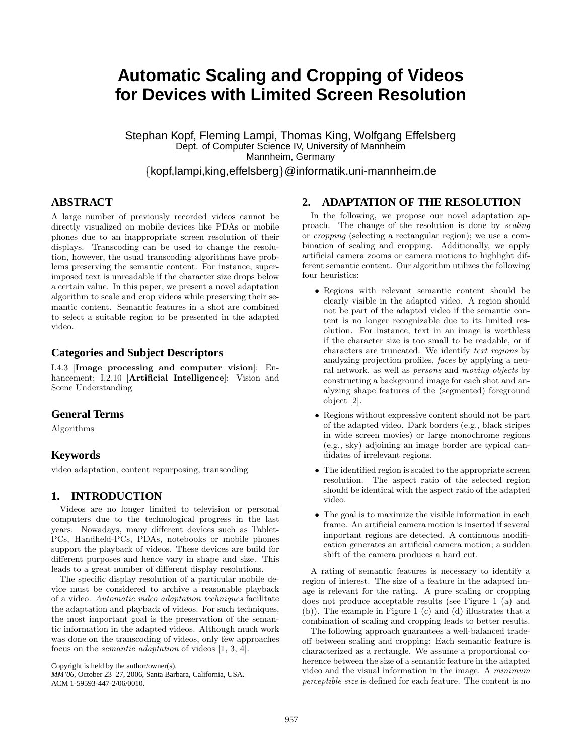# **Automatic Scaling and Cropping of Videos for Devices with Limited Screen Resolution**

Stephan Kopf, Fleming Lampi, Thomas King, Wolfgang Effelsberg Dept. of Computer Science IV, University of Mannheim Mannheim, Germany

*{*kopf,lampi,king,effelsberg*}*@informatik.uni-mannheim.de

# **ABSTRACT**

A large number of previously recorded videos cannot be directly visualized on mobile devices like PDAs or mobile phones due to an inappropriate screen resolution of their displays. Transcoding can be used to change the resolution, however, the usual transcoding algorithms have problems preserving the semantic content. For instance, superimposed text is unreadable if the character size drops below a certain value. In this paper, we present a novel adaptation algorithm to scale and crop videos while preserving their semantic content. Semantic features in a shot are combined to select a suitable region to be presented in the adapted video.

#### **Categories and Subject Descriptors**

I.4.3 [**Image processing and computer vision**]: Enhancement; I.2.10 [**Artificial Intelligence**]: Vision and Scene Understanding

### **General Terms**

Algorithms

## **Keywords**

video adaptation, content repurposing, transcoding

# **1. INTRODUCTION**

Videos are no longer limited to television or personal computers due to the technological progress in the last years. Nowadays, many different devices such as Tablet-PCs, Handheld-PCs, PDAs, notebooks or mobile phones support the playback of videos. These devices are build for different purposes and hence vary in shape and size. This leads to a great number of different display resolutions.

The specific display resolution of a particular mobile device must be considered to archive a reasonable playback of a video. *Automatic video adaptation techniques* facilitate the adaptation and playback of videos. For such techniques, the most important goal is the preservation of the semantic information in the adapted videos. Although much work was done on the transcoding of videos, only few approaches focus on the *semantic adaptation* of videos [1, 3, 4].

Copyright is held by the author/owner(s).

## **2. ADAPTATION OF THE RESOLUTION**

In the following, we propose our novel adaptation approach. The change of the resolution is done by *scaling* or *cropping* (selecting a rectangular region); we use a combination of scaling and cropping. Additionally, we apply artificial camera zooms or camera motions to highlight different semantic content. Our algorithm utilizes the following four heuristics:

- Regions with relevant semantic content should be clearly visible in the adapted video. A region should not be part of the adapted video if the semantic content is no longer recognizable due to its limited resolution. For instance, text in an image is worthless if the character size is too small to be readable, or if characters are truncated. We identify *text regions* by analyzing projection profiles, *faces* by applying a neural network, as well as *persons* and *moving objects* by constructing a background image for each shot and analyzing shape features of the (segmented) foreground object [2].
- Regions without expressive content should not be part of the adapted video. Dark borders (e.g., black stripes in wide screen movies) or large monochrome regions (e.g., sky) adjoining an image border are typical candidates of irrelevant regions.
- The identified region is scaled to the appropriate screen resolution. The aspect ratio of the selected region should be identical with the aspect ratio of the adapted video.
- The goal is to maximize the visible information in each frame. An artificial camera motion is inserted if several important regions are detected. A continuous modification generates an artificial camera motion; a sudden shift of the camera produces a hard cut.

A rating of semantic features is necessary to identify a region of interest. The size of a feature in the adapted image is relevant for the rating. A pure scaling or cropping does not produce acceptable results (see Figure 1 (a) and (b)). The example in Figure 1 (c) and (d) illustrates that a combination of scaling and cropping leads to better results.

The following approach guarantees a well-balanced tradeoff between scaling and cropping: Each semantic feature is characterized as a rectangle. We assume a proportional coherence between the size of a semantic feature in the adapted video and the visual information in the image. A *minimum perceptible size* is defined for each feature. The content is no

*MM'06,* October 23–27, 2006, Santa Barbara, California, USA. ACM 1-59593-447-2/06/0010.